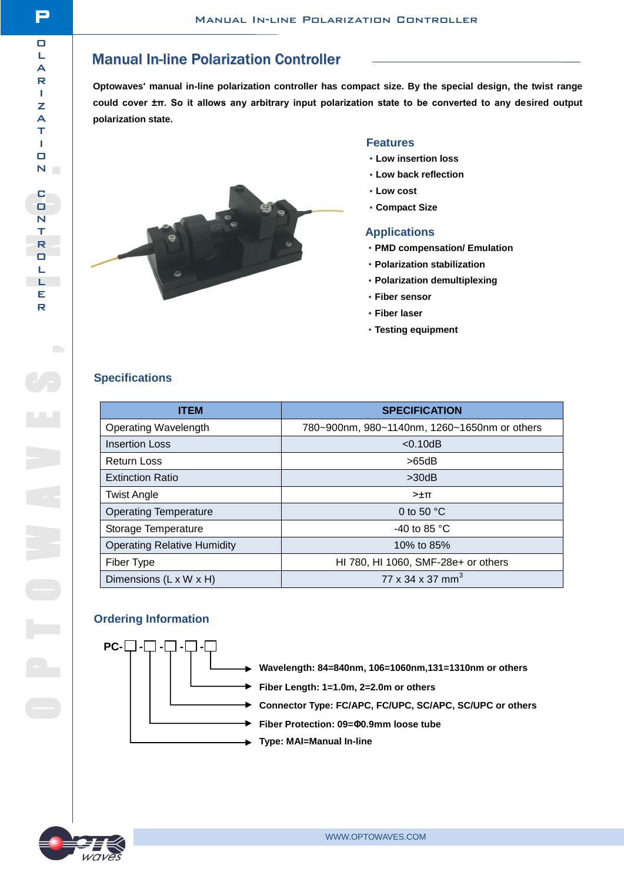## Manual In-line Polarization Controller

**Optowaves' manual in-line polarization controller has compact size. By the special design, the twist range could cover ±π. So it allows any arbitrary input polarization state to be converted to any desired output polarization state.**



#### **Features**

- ·**Low insertion loss**
- ·**Low back reflection**
- ·**Low cost**
- ·**Compact Size**

#### **Applications**

- ·**PMD compensation/ Emulation**
- ·**Polarization stabilization**
- ·**Polarization demultiplexing**
- ·**Fiber sensor**
- ·**Fiber laser**
- ·**Testing equipment**

#### **Specifications**

| ITEM                               | <b>SPECIFICATION</b>                         |
|------------------------------------|----------------------------------------------|
| <b>Operating Wavelength</b>        | 780~900nm, 980~1140nm, 1260~1650nm or others |
| <b>Insertion Loss</b>              | < 0.10dB                                     |
| Return Loss                        | >65dB                                        |
| <b>Extinction Ratio</b>            | >30dB                                        |
| <b>Twist Angle</b>                 | >±π                                          |
| <b>Operating Temperature</b>       | 0 to 50 $^{\circ}$ C                         |
| Storage Temperature                | -40 to 85 $^{\circ}$ C                       |
| <b>Operating Relative Humidity</b> | 10% to 85%                                   |
| Fiber Type                         | HI 780, HI 1060, SMF-28e+ or others          |
| Dimensions (L x W x H)             | 77 x 34 x 37 mm <sup>3</sup>                 |

## **Ordering Information**